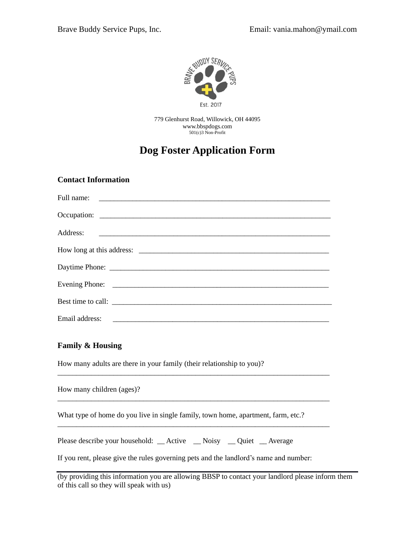

779 Glenhurst Road, Willowick, OH 44095 [www.bbspdogs.com](http://www.bbspdogs.com/) 501(c)3 Non-Profit

# **Dog Foster Application Form**

#### **Contact Information**

| How long at this address: |
|---------------------------|
|                           |
|                           |
| Best time to call:        |
|                           |

### **Family & Housing**

How many adults are there in your family (their relationship to you)?

How many children (ages)?

What type of home do you live in single family, town home, apartment, farm, etc.?

\_\_\_\_\_\_\_\_\_\_\_\_\_\_\_\_\_\_\_\_\_\_\_\_\_\_\_\_\_\_\_\_\_\_\_\_\_\_\_\_\_\_\_\_\_\_\_\_\_\_\_\_\_\_\_\_\_\_\_\_\_\_\_\_\_\_\_\_\_\_\_\_\_

\_\_\_\_\_\_\_\_\_\_\_\_\_\_\_\_\_\_\_\_\_\_\_\_\_\_\_\_\_\_\_\_\_\_\_\_\_\_\_\_\_\_\_\_\_\_\_\_\_\_\_\_\_\_\_\_\_\_\_\_\_\_\_\_\_\_\_\_\_\_\_\_\_

\_\_\_\_\_\_\_\_\_\_\_\_\_\_\_\_\_\_\_\_\_\_\_\_\_\_\_\_\_\_\_\_\_\_\_\_\_\_\_\_\_\_\_\_\_\_\_\_\_\_\_\_\_\_\_\_\_\_\_\_\_\_\_\_\_\_\_\_\_\_\_\_\_

Please describe your household: \_\_ Active \_\_ Noisy \_\_ Quiet \_\_ Average

If you rent, please give the rules governing pets and the landlord's name and number:

| (by providing this information you are allowing BBSP to contact your landlord please inform them |  |
|--------------------------------------------------------------------------------------------------|--|
| of this call so they will speak with us)                                                         |  |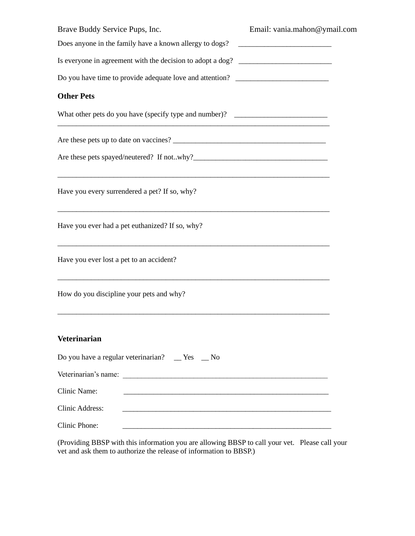| Brave Buddy Service Pups, Inc.                                                                                                                                         | Email: vania.mahon@ymail.com |
|------------------------------------------------------------------------------------------------------------------------------------------------------------------------|------------------------------|
| Does anyone in the family have a known allergy to dogs?                                                                                                                |                              |
| Is everyone in agreement with the decision to adopt a dog? ______________________                                                                                      |                              |
| Do you have time to provide adequate love and attention? _______________________                                                                                       |                              |
| <b>Other Pets</b>                                                                                                                                                      |                              |
| What other pets do you have (specify type and number)? _________________________                                                                                       |                              |
|                                                                                                                                                                        |                              |
|                                                                                                                                                                        |                              |
| <u> 1989 - Johann Barn, amerikan bernama di sebagai bernama di sebagai bernama di sebagai bernama di sebagai bern</u><br>Have you every surrendered a pet? If so, why? |                              |
| Have you ever had a pet euthanized? If so, why?                                                                                                                        |                              |
| Have you ever lost a pet to an accident?                                                                                                                               |                              |
| How do you discipline your pets and why?                                                                                                                               |                              |
| <b>Veterinarian</b>                                                                                                                                                    |                              |
| Do you have a regular veterinarian? _ Yes _ No                                                                                                                         |                              |
|                                                                                                                                                                        |                              |
| Clinic Name:<br><u> 1980 - John Harry Harry Harry Harry Harry Harry Harry Harry Harry Harry Harry Harry Harry Harry Harry Harry H</u>                                  |                              |
| <b>Clinic Address:</b><br><u> 1989 - Johann Stoff, amerikansk politiker (d. 1989)</u>                                                                                  |                              |
| Clinic Phone:                                                                                                                                                          |                              |

(Providing BBSP with this information you are allowing BBSP to call your vet. Please call your vet and ask them to authorize the release of information to BBSP.)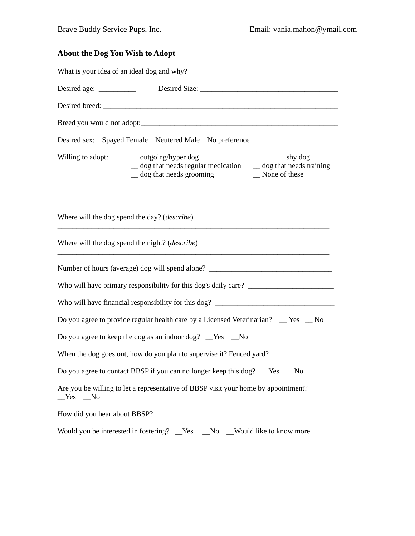## **About the Dog You Wish to Adopt**

What is your idea of an ideal dog and why?

|                   | Desired sex: _ Spayed Female _ Neutered Male _ No preference                                                                                                          |
|-------------------|-----------------------------------------------------------------------------------------------------------------------------------------------------------------------|
| Willing to adopt: | _ outgoing/hyper dog<br>$\equiv$ shy dog<br>$\equiv$ dog that needs regular medication $\equiv$ dog that needs training<br>olog that needs grooming<br>_None of these |
|                   | Where will the dog spend the day? ( <i>describe</i> )                                                                                                                 |
|                   | Where will the dog spend the night? ( <i>describe</i> )                                                                                                               |
|                   | Number of hours (average) dog will spend alone? _________________________________                                                                                     |
|                   |                                                                                                                                                                       |
|                   |                                                                                                                                                                       |
|                   | Do you agree to provide regular health care by a Licensed Veterinarian? $\equiv$ Yes $\equiv$ No                                                                      |
|                   | Do you agree to keep the dog as an indoor dog? _Yes _No                                                                                                               |
|                   | When the dog goes out, how do you plan to supervise it? Fenced yard?                                                                                                  |
|                   | Do you agree to contact BBSP if you can no longer keep this dog? __Yes __No                                                                                           |
| $Yes$ No          | Are you be willing to let a representative of BBSP visit your home by appointment?                                                                                    |
|                   |                                                                                                                                                                       |
|                   | Would you be interested in fostering? _Yes<br>No Would like to know more                                                                                              |